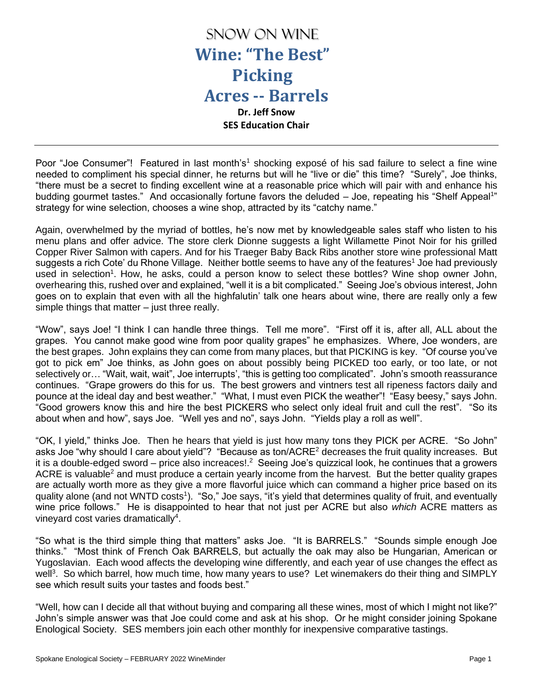

Poor "Joe Consumer"! Featured in last month's<sup>1</sup> shocking exposé of his sad failure to select a fine wine needed to compliment his special dinner, he returns but will he "live or die" this time? "Surely", Joe thinks, "there must be a secret to finding excellent wine at a reasonable price which will pair with and enhance his budding gourmet tastes." And occasionally fortune favors the deluded – Joe, repeating his "Shelf Appeal<sup>1</sup>" strategy for wine selection, chooses a wine shop, attracted by its "catchy name."

Again, overwhelmed by the myriad of bottles, he's now met by knowledgeable sales staff who listen to his menu plans and offer advice. The store clerk Dionne suggests a light Willamette Pinot Noir for his grilled Copper River Salmon with capers. And for his Traeger Baby Back Ribs another store wine professional Matt suggests a rich Cote' du Rhone Village. Neither bottle seems to have any of the features<sup>1</sup> Joe had previously used in selection<sup>1</sup>. How, he asks, could a person know to select these bottles? Wine shop owner John, overhearing this, rushed over and explained, "well it is a bit complicated." Seeing Joe's obvious interest, John goes on to explain that even with all the highfalutin' talk one hears about wine, there are really only a few simple things that matter – just three really.

"Wow", says Joe! "I think I can handle three things. Tell me more". "First off it is, after all, ALL about the grapes. You cannot make good wine from poor quality grapes" he emphasizes. Where, Joe wonders, are the best grapes. John explains they can come from many places, but that PICKING is key. "Of course you've got to pick em" Joe thinks, as John goes on about possibly being PICKED too early, or too late, or not selectively or... "Wait, wait, wait", Joe interrupts', "this is getting too complicated". John's smooth reassurance continues. "Grape growers do this for us. The best growers and vintners test all ripeness factors daily and pounce at the ideal day and best weather." "What, I must even PICK the weather"! "Easy beesy," says John. "Good growers know this and hire the best PICKERS who select only ideal fruit and cull the rest". "So its about when and how", says Joe. "Well yes and no", says John. "Yields play a roll as well".

"OK, I yield," thinks Joe. Then he hears that yield is just how many tons they PICK per ACRE. "So John" asks Joe "why should I care about yield"? "Because as ton/ACRE<sup>2</sup> decreases the fruit quality increases. But it is a double-edged sword – price also increaces!.<sup>2</sup> Seeing Joe's quizzical look, he continues that a growers ACRE is valuable<sup>2</sup> and must produce a certain yearly income from the harvest. But the better quality grapes are actually worth more as they give a more flavorful juice which can command a higher price based on its quality alone (and not WNTD costs<sup>1</sup>). "So," Joe says, "it's yield that determines quality of fruit, and eventually wine price follows." He is disappointed to hear that not just per ACRE but also *which* ACRE matters as vineyard cost varies dramatically<sup>4</sup>.

"So what is the third simple thing that matters" asks Joe. "It is BARRELS." "Sounds simple enough Joe thinks." "Most think of French Oak BARRELS, but actually the oak may also be Hungarian, American or Yugoslavian. Each wood affects the developing wine differently, and each year of use changes the effect as well<sup>3</sup>. So which barrel, how much time, how many years to use? Let winemakers do their thing and SIMPLY see which result suits your tastes and foods best."

"Well, how can I decide all that without buying and comparing all these wines, most of which I might not like?" John's simple answer was that Joe could come and ask at his shop. Or he might consider joining Spokane Enological Society. SES members join each other monthly for inexpensive comparative tastings.